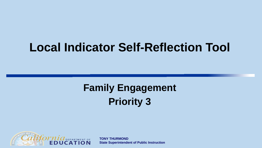#### **Local Indicator Self-Reflection Tool**

#### **Family Engagement Priority 3**



**TONY THURMOND State Superintendent of Public Instruction**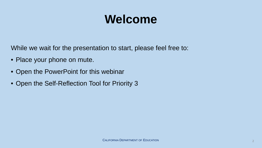### **Welcome**

While we wait for the presentation to start, please feel free to:

- Place your phone on mute.
- Open the PowerPoint for this webinar
- Open the Self-Reflection Tool for Priority 3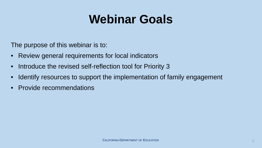### **Webinar Goals**

The purpose of this webinar is to:

- Review general requirements for local indicators
- Introduce the revised self-reflection tool for Priority 3
- Identify resources to support the implementation of family engagement
- Provide recommendations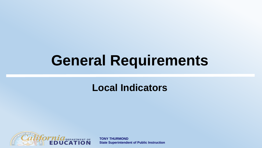# **General Requirements**

#### **Local Indicators**



**TONY THURMOND State Superintendent of Public Instruction**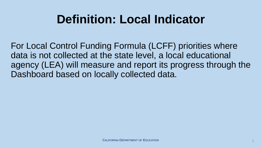## **Definition: Local Indicator**

For Local Control Funding Formula (LCFF) priorities where data is not collected at the state level, a local educational agency (LEA) will measure and report its progress through the Dashboard based on locally collected data.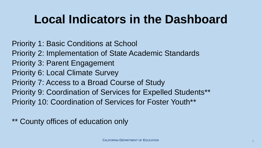## **Local Indicators in the Dashboard**

Priority 1: Basic Conditions at School Priority 2: Implementation of State Academic Standards Priority 3: Parent Engagement Priority 6: Local Climate Survey Priority 7: Access to a Broad Course of Study Priority 9: Coordination of Services for Expelled Students\*\* Priority 10: Coordination of Services for Foster Youth\*\*

\*\* County offices of education only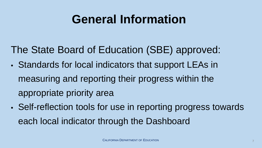#### **General Information**

The State Board of Education (SBE) approved:

- Standards for local indicators that support LEAs in measuring and reporting their progress within the appropriate priority area
- Self-reflection tools for use in reporting progress towards each local indicator through the Dashboard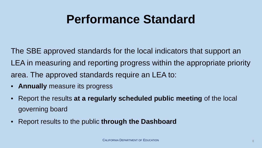#### **Performance Standard**

The SBE approved standards for the local indicators that support an LEA in measuring and reporting progress within the appropriate priority area. The approved standards require an LEA to:

- **Annually** measure its progress
- Report the results **at a regularly scheduled public meeting** of the local governing board
- Report results to the public **through the Dashboard**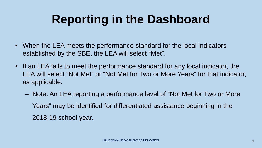# **Reporting in the Dashboard**

- When the LEA meets the performance standard for the local indicators established by the SBE, the LEA will select "Met".
- If an LEA fails to meet the performance standard for any local indicator, the LEA will select "Not Met" or "Not Met for Two or More Years" for that indicator, as applicable.
	- ‒ Note: An LEA reporting a performance level of "Not Met for Two or More Years" may be identified for differentiated assistance beginning in the 2018-19 school year.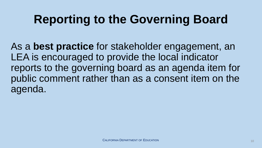# **Reporting to the Governing Board**

As a **best practice** for stakeholder engagement, an LEA is encouraged to provide the local indicator reports to the governing board as an agenda item for public comment rather than as a consent item on the agenda.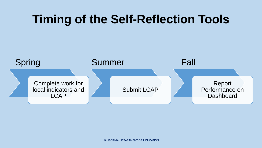#### **Timing of the Self-Reflection Tools**

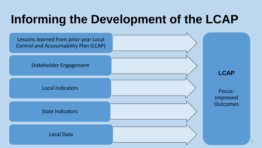# **Informing the Development of the LCAP**

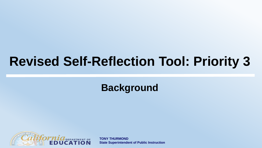### **Revised Self-Reflection Tool: Priority 3**

**Background**



**TONY THURMOND State Superintendent of Public Instruction**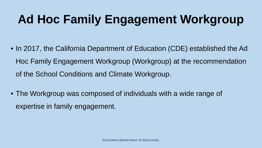# **Ad Hoc Family Engagement Workgroup**

- In 2017, the California Department of Education (CDE) established the Ad Hoc Family Engagement Workgroup (Workgroup) at the recommendation of the School Conditions and Climate Workgroup.
- The Workgroup was composed of individuals with a wide range of expertise in family engagement.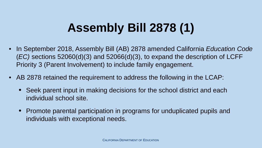# **Assembly Bill 2878 (1)**

- In September 2018, Assembly Bill (AB) 2878 amended California *Education Code* (*EC)* sections 52060(d)(3) and 52066(d)(3), to expand the description of LCFF Priority 3 (Parent Involvement) to include family engagement.
- AB 2878 retained the requirement to address the following in the LCAP:
	- Seek parent input in making decisions for the school district and each individual school site.
	- Promote parental participation in programs for unduplicated pupils and individuals with exceptional needs.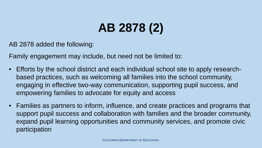# **AB 2878 (2)**

AB 2878 added the following:

Family engagement may include, but need not be limited to:

- Efforts by the school district and each individual school site to apply researchbased practices, such as welcoming all families into the school community, engaging in effective two-way communication, supporting pupil success, and empowering families to advocate for equity and access
- Families as partners to inform, influence, and create practices and programs that support pupil success and collaboration with families and the broader community, expand pupil learning opportunities and community services, and promote civic participation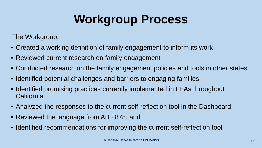# **Workgroup Process**

The Workgroup:

- Created a working definition of family engagement to inform its work
- Reviewed current research on family engagement
- Conducted research on the family engagement policies and tools in other states
- Identified potential challenges and barriers to engaging families
- Identified promising practices currently implemented in LEAs throughout **California**
- Analyzed the responses to the current self-reflection tool in the Dashboard
- Reviewed the language from AB 2878; and
- Identified recommendations for improving the current self-reflection tool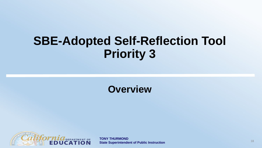#### **SBE-Adopted Self-Reflection Tool Priority 3**

#### **Overview**



**TONY THURMOND State Superintendent of Public Instruction** 18<br> **State Superintendent of Public Instruction**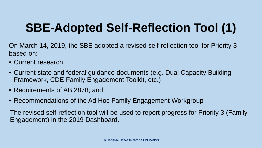### **SBE-Adopted Self-Reflection Tool (1)**

- On March 14, 2019, the SBE adopted a revised self-reflection tool for Priority 3 based on:
- Current research
- Current state and federal guidance documents (e.g. Dual Capacity Building Framework, CDE Family Engagement Toolkit, etc.)
- Requirements of AB 2878; and
- Recommendations of the Ad Hoc Family Engagement Workgroup

The revised self-reflection tool will be used to report progress for Priority 3 (Family Engagement) in the 2019 Dashboard.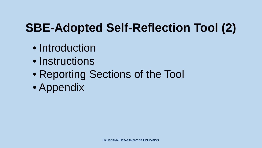#### **SBE-Adopted Self-Reflection Tool (2)**

- Introduction
- Instructions
- Reporting Sections of the Tool
- Appendix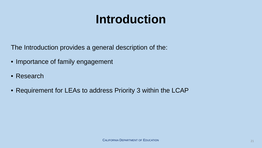## **Introduction**

The Introduction provides a general description of the:

- Importance of family engagement
- Research
- Requirement for LEAs to address Priority 3 within the LCAP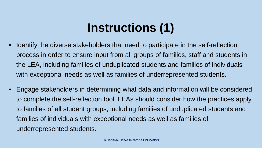# **Instructions (1)**

- Identify the diverse stakeholders that need to participate in the self-reflection process in order to ensure input from all groups of families, staff and students in the LEA, including families of unduplicated students and families of individuals with exceptional needs as well as families of underrepresented students.
- Engage stakeholders in determining what data and information will be considered to complete the self-reflection tool. LEAs should consider how the practices apply to families of all student groups, including families of unduplicated students and families of individuals with exceptional needs as well as families of underrepresented students.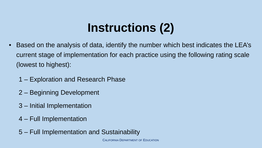# **Instructions (2)**

- Based on the analysis of data, identify the number which best indicates the LEA's current stage of implementation for each practice using the following rating scale (lowest to highest):
	- 1 Exploration and Research Phase
	- 2 Beginning Development
	- 3 Initial Implementation
	- 4 Full Implementation
	- 5 Full Implementation and Sustainability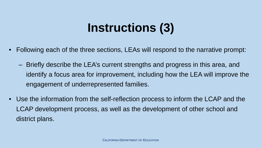### **Instructions (3)**

- Following each of the three sections, LEAs will respond to the narrative prompt:
	- ‒ Briefly describe the LEA's current strengths and progress in this area, and identify a focus area for improvement, including how the LEA will improve the engagement of underrepresented families.
- Use the information from the self-reflection process to inform the LCAP and the LCAP development process, as well as the development of other school and district plans.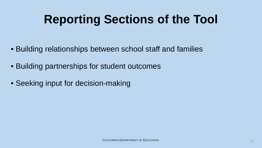# **Reporting Sections of the Tool**

- Building relationships between school staff and families
- Building partnerships for student outcomes
- Seeking input for decision-making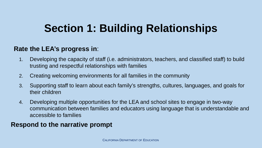#### **Section 1: Building Relationships**

#### **Rate the LEA's progress in**:

- 1. Developing the capacity of staff (i.e. administrators, teachers, and classified staff) to build trusting and respectful relationships with families
- 2. Creating welcoming environments for all families in the community
- 3. Supporting staff to learn about each family's strengths, cultures, languages, and goals for their children
- 4. Developing multiple opportunities for the LEA and school sites to engage in two-way communication between families and educators using language that is understandable and accessible to families

#### **Respond to the narrative prompt**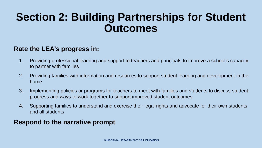#### **Section 2: Building Partnerships for Student Outcomes**

#### **Rate the LEA's progress in:**

- 1. Providing professional learning and support to teachers and principals to improve a school's capacity to partner with families
- 2. Providing families with information and resources to support student learning and development in the home
- 3. Implementing policies or programs for teachers to meet with families and students to discuss student progress and ways to work together to support improved student outcomes
- 4. Supporting families to understand and exercise their legal rights and advocate for their own students and all students

#### **Respond to the narrative prompt**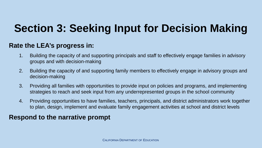#### **Section 3: Seeking Input for Decision Making**

#### **Rate the LEA's progress in:**

- 1. Building the capacity of and supporting principals and staff to effectively engage families in advisory groups and with decision-making
- 2. Building the capacity of and supporting family members to effectively engage in advisory groups and decision-making
- 3. Providing all families with opportunities to provide input on policies and programs, and implementing strategies to reach and seek input from any underrepresented groups in the school community
- 4. Providing opportunities to have families, teachers, principals, and district administrators work together to plan, design, implement and evaluate family engagement activities at school and district levels

#### **Respond to the narrative prompt**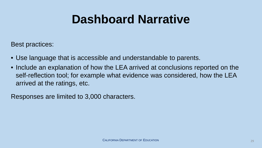#### **Dashboard Narrative**

Best practices:

- Use language that is accessible and understandable to parents.
- Include an explanation of how the LEA arrived at conclusions reported on the self-reflection tool; for example what evidence was considered, how the LEA arrived at the ratings, etc.

Responses are limited to 3,000 characters.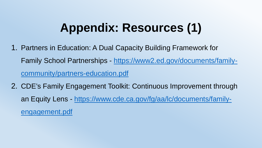#### **Appendix: Resources (1)**

- 1. Partners in Education: A Dual Capacity Building Framework for Family School Partnerships - [https://www2.ed.gov/documents/family](https://www2.ed.gov/documents/family-community/partners-education.pdf)community/partners-education.pdf
- 2. CDE's Family Engagement Toolkit: Continuous Improvement through an Equity Lens - [https://www.cde.ca.gov/fg/aa/lc/documents/family](https://www.cde.ca.gov/fg/aa/lc/documents/family-engagement.pdf)engagement.pdf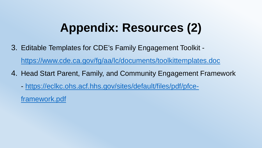#### **Appendix: Resources (2)**

- 3. Editable Templates for CDE's Family Engagement Toolkit <https://www.cde.ca.gov/fg/aa/lc/documents/toolkittemplates.doc>
- 4. Head Start Parent, Family, and Community Engagement Framework
	- [https://eclkc.ohs.acf.hhs.gov/sites/default/files/pdf/pfce-](https://eclkc.ohs.acf.hhs.gov/sites/default/files/pdf/pfce-framework.pdf)

framework.pdf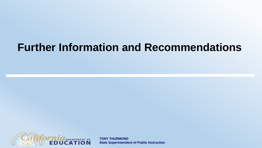#### **Further Information and Recommendations**



**TONY THURMOND State Superintendent of Public Instruction**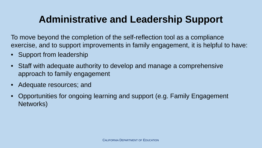#### **Administrative and Leadership Support**

To move beyond the completion of the self-reflection tool as a compliance exercise, and to support improvements in family engagement, it is helpful to have:

- Support from leadership
- Staff with adequate authority to develop and manage a comprehensive approach to family engagement
- Adequate resources; and
- Opportunities for ongoing learning and support (e.g. Family Engagement Networks)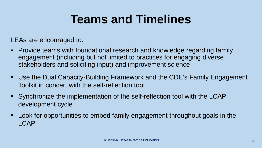### **Teams and Timelines**

LEAs are encouraged to:

- Provide teams with foundational research and knowledge regarding family engagement (including but not limited to practices for engaging diverse stakeholders and soliciting input) and improvement science
- Use the Dual Capacity-Building Framework and the CDE's Family Engagement Toolkit in concert with the self-reflection tool
- Synchronize the implementation of the self-reflection tool with the LCAP development cycle
- Look for opportunities to embed family engagement throughout goals in the LCAP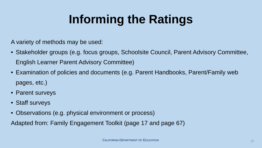# **Informing the Ratings**

A variety of methods may be used:

- Stakeholder groups (e.g. focus groups, Schoolsite Council, Parent Advisory Committee, English Learner Parent Advisory Committee)
- Examination of policies and documents (e.g. Parent Handbooks, Parent/Family web pages, etc.)
- Parent surveys
- Staff surveys
- Observations (e.g. physical environment or process)

Adapted from: Family Engagement Toolkit (page 17 and page 67)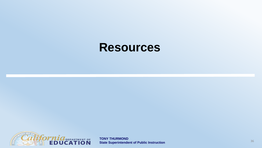#### **Resources**



**TONY THURMOND State Superintendent of Public Instruction** 36 and 36 and 36 and 36 and 36 and 36 and 36 and 36 and 36 and 36 and 36 and 36 and 36 and 36 and 36 and 36 and 36 and 36 and 36 and 36 and 36 and 36 and 36 and 36 and 36 and 36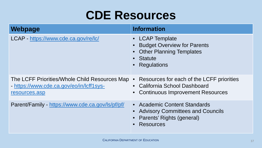#### **CDE Resources**

| Webpage                                                                                                    | <b>Information</b>                                                                                                            |
|------------------------------------------------------------------------------------------------------------|-------------------------------------------------------------------------------------------------------------------------------|
| LCAP - https://www.cde.ca.gov/re/lc/                                                                       | • LCAP Template<br>• Budget Overview for Parents<br><b>Other Planning Templates</b><br>• Statute<br>• Regulations             |
| The LCFF Priorities/Whole Child Resources Map<br>- https://www.cde.ca.gov/eo/in/lcff1sys-<br>resources.asp | Resources for each of the LCFF priorities<br>$\bullet$<br>• California School Dashboard<br>• Continuous Improvement Resources |
| Parent/Family - https://www.cde.ca.gov/ls/pf/pf/                                                           | • Academic Content Standards<br><b>Advisory Committees and Councils</b><br>• Parents' Rights (general)<br><b>Resources</b>    |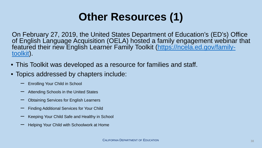#### **Other Resources (1)**

On February 27, 2019, the United States Department of Education's (ED's) Office of English Language Acquisition (OELA) hosted a family engagement webinar that [featured their new English Learner Family Toolkit \(https://ncela.ed.gov/family-](https://ncela.ed.gov/family-toolkit)<br>toolkit).

- This Toolkit was developed as a resource for families and staff.
- Topics addressed by chapters include:
	- ‒ Enrolling Your Child in School
	- ‒ Attending Schools in the United States
	- ‒ Obtaining Services for English Learners
	- ‒ Finding Additional Services for Your Child
	- ‒ Keeping Your Child Safe and Healthy in School
	- ‒ Helping Your Child with Schoolwork at Home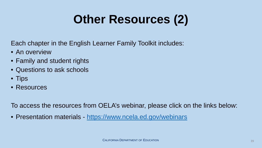# **Other Resources (2)**

Each chapter in the English Learner Family Toolkit includes:

- An overview
- Family and student rights
- Questions to ask schools
- Tips
- Resources

To access the resources from OELA's webinar, please click on the links below:

• Presentation materials - <https://www.ncela.ed.gov/webinars>